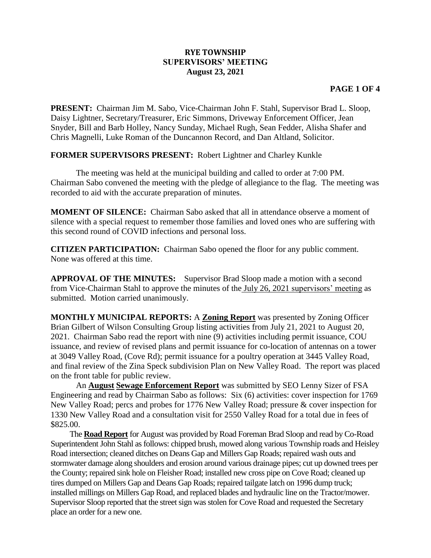## **RYE TOWNSHIP SUPERVISORS' MEETING August 23, 2021**

## **PAGE 1 OF 4**

**PRESENT:** Chairman Jim M. Sabo, Vice-Chairman John F. Stahl, Supervisor Brad L. Sloop, Daisy Lightner, Secretary/Treasurer, Eric Simmons, Driveway Enforcement Officer, Jean Snyder, Bill and Barb Holley, Nancy Sunday, Michael Rugh, Sean Fedder, Alisha Shafer and Chris Magnelli, Luke Roman of the Duncannon Record, and Dan Altland, Solicitor.

**FORMER SUPERVISORS PRESENT:** Robert Lightner and Charley Kunkle

The meeting was held at the municipal building and called to order at 7:00 PM. Chairman Sabo convened the meeting with the pledge of allegiance to the flag. The meeting was recorded to aid with the accurate preparation of minutes.

**MOMENT OF SILENCE:** Chairman Sabo asked that all in attendance observe a moment of silence with a special request to remember those families and loved ones who are suffering with this second round of COVID infections and personal loss.

**CITIZEN PARTICIPATION:** Chairman Sabo opened the floor for any public comment. None was offered at this time.

**APPROVAL OF THE MINUTES:** Supervisor Brad Sloop made a motion with a second from Vice-Chairman Stahl to approve the minutes of the July 26, 2021 supervisors' meeting as submitted. Motion carried unanimously.

**MONTHLY MUNICIPAL REPORTS:** A **Zoning Report** was presented by Zoning Officer Brian Gilbert of Wilson Consulting Group listing activities from July 21, 2021 to August 20, 2021. Chairman Sabo read the report with nine (9) activities including permit issuance, COU issuance, and review of revised plans and permit issuance for co-location of antennas on a tower at 3049 Valley Road, (Cove Rd); permit issuance for a poultry operation at 3445 Valley Road, and final review of the Zina Speck subdivision Plan on New Valley Road. The report was placed on the front table for public review.

An **August Sewage Enforcement Report** was submitted by SEO Lenny Sizer of FSA Engineering and read by Chairman Sabo as follows: Six (6) activities: cover inspection for 1769 New Valley Road; percs and probes for 1776 New Valley Road; pressure & cover inspection for 1330 New Valley Road and a consultation visit for 2550 Valley Road for a total due in fees of \$825.00.

The **Road Report** for August was provided by Road Foreman Brad Sloop and read by Co-Road Superintendent John Stahl as follows: chipped brush, mowed along various Township roads and Heisley Road intersection; cleaned ditches on Deans Gap and Millers Gap Roads; repaired wash outs and stormwater damage along shoulders and erosion around various drainage pipes; cut up downed trees per the County; repaired sink hole on Fleisher Road; installed new cross pipe on Cove Road; cleaned up tires dumped on Millers Gap and Deans Gap Roads; repaired tailgate latch on 1996 dump truck; installed millings on Millers Gap Road, and replaced blades and hydraulic line on the Tractor/mower. Supervisor Sloop reported that the street sign was stolen for Cove Road and requested the Secretary place an order for a new one.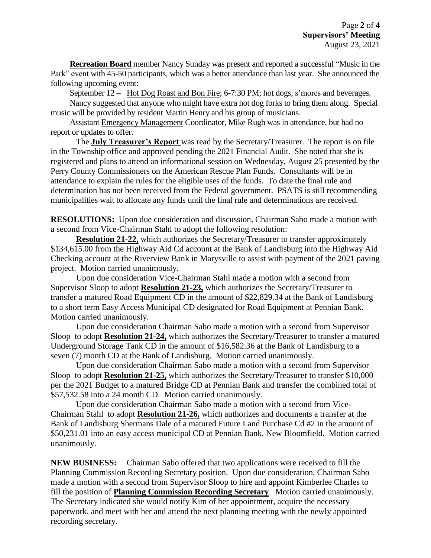**Recreation Board** member Nancy Sunday was present and reported a successful "Music in the Park" event with 45-50 participants, which was a better attendance than last year. She announced the following upcoming event:

September 12 – Hot Dog Roast and Bon Fire; 6-7:30 PM; hot dogs, s'mores and beverages.

Nancy suggested that anyone who might have extra hot dog forks to bring them along. Special music will be provided by resident Martin Henry and his group of musicians.

Assistant Emergency Management Coordinator, Mike Rugh was in attendance, but had no report or updates to offer.

The **July Treasurer's Report** was read by the Secretary/Treasurer. The report is on file in the Township office and approved pending the 2021 Financial Audit. She noted that she is registered and plans to attend an informational session on Wednesday, August 25 presented by the Perry County Commissioners on the American Rescue Plan Funds. Consultants will be in attendance to explain the rules for the eligible uses of the funds. To date the final rule and determination has not been received from the Federal government. PSATS is still recommending municipalities wait to allocate any funds until the final rule and determinations are received.

**RESOLUTIONS:** Upon due consideration and discussion, Chairman Sabo made a motion with a second from Vice-Chairman Stahl to adopt the following resolution:

**Resolution 21-22,** which authorizes the Secretary/Treasurer to transfer approximately \$134,615.00 from the Highway Aid Cd account at the Bank of Landisburg into the Highway Aid Checking account at the Riverview Bank in Marysville to assist with payment of the 2021 paving project. Motion carried unanimously.

Upon due consideration Vice-Chairman Stahl made a motion with a second from Supervisor Sloop to adopt **Resolution 21-23,** which authorizes the Secretary/Treasurer to transfer a matured Road Equipment CD in the amount of \$22,829.34 at the Bank of Landisburg to a short term Easy Access Municipal CD designated for Road Equipment at Pennian Bank. Motion carried unanimously.

Upon due consideration Chairman Sabo made a motion with a second from Supervisor Sloop to adopt **Resolution 21-24,** which authorizes the Secretary/Treasurer to transfer a matured Underground Storage Tank CD in the amount of \$16,582.36 at the Bank of Landisburg to a seven (7) month CD at the Bank of Landisburg. Motion carried unanimously.

Upon due consideration Chairman Sabo made a motion with a second from Supervisor Sloop to adopt **Resolution 21-25,** which authorizes the Secretary/Treasurer to transfer \$10,000 per the 2021 Budget to a matured Bridge CD at Pennian Bank and transfer the combined total of \$57,532.58 into a 24 month CD. Motion carried unanimously.

Upon due consideration Chairman Sabo made a motion with a second from Vice-Chairman Stahl to adopt **Resolution 21-26,** which authorizes and documents a transfer at the Bank of Landisburg Shermans Dale of a matured Future Land Purchase Cd #2 in the amount of \$50,231.01 into an easy access municipal CD at Pennian Bank, New Bloomfield. Motion carried unanimously.

**NEW BUSINESS:** Chairman Sabo offered that two applications were received to fill the Planning Commission Recording Secretary position. Upon due consideration, Chairman Sabo made a motion with a second from Supervisor Sloop to hire and appoint Kimberlee Charles to fill the position of **Planning Commission Recording Secretary**. Motion carried unanimously. The Secretary indicated she would notify Kim of her appointment, acquire the necessary paperwork, and meet with her and attend the next planning meeting with the newly appointed recording secretary.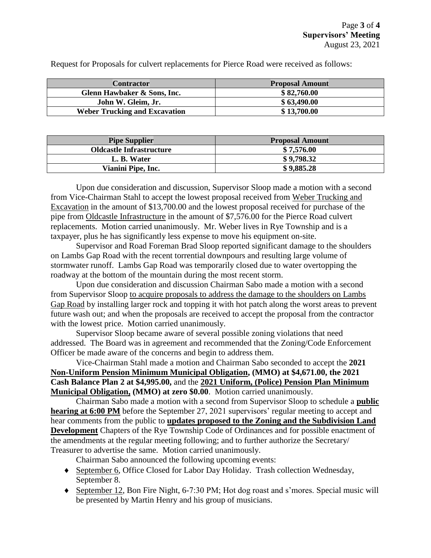Request for Proposals for culvert replacements for Pierce Road were received as follows:

| <b>Contractor</b>                    | <b>Proposal Amount</b> |
|--------------------------------------|------------------------|
| Glenn Hawbaker & Sons, Inc.          | \$82,760.00            |
| John W. Gleim, Jr.                   | \$63,490.00            |
| <b>Weber Trucking and Excavation</b> | \$13,700.00            |

| <b>Pipe Supplier</b>            | <b>Proposal Amount</b> |
|---------------------------------|------------------------|
| <b>Oldcastle Infrastructure</b> | \$7,576.00             |
| L. B. Water                     | \$9,798.32             |
| Vianini Pipe, Inc.              | \$9,885.28             |

Upon due consideration and discussion, Supervisor Sloop made a motion with a second from Vice-Chairman Stahl to accept the lowest proposal received from Weber Trucking and Excavation in the amount of \$13,700.00 and the lowest proposal received for purchase of the pipe from Oldcastle Infrastructure in the amount of \$7,576.00 for the Pierce Road culvert replacements. Motion carried unanimously. Mr. Weber lives in Rye Township and is a taxpayer, plus he has significantly less expense to move his equipment on-site.

Supervisor and Road Foreman Brad Sloop reported significant damage to the shoulders on Lambs Gap Road with the recent torrential downpours and resulting large volume of stormwater runoff. Lambs Gap Road was temporarily closed due to water overtopping the roadway at the bottom of the mountain during the most recent storm.

Upon due consideration and discussion Chairman Sabo made a motion with a second from Supervisor Sloop to acquire proposals to address the damage to the shoulders on Lambs Gap Road by installing larger rock and topping it with hot patch along the worst areas to prevent future wash out; and when the proposals are received to accept the proposal from the contractor with the lowest price. Motion carried unanimously.

Supervisor Sloop became aware of several possible zoning violations that need addressed. The Board was in agreement and recommended that the Zoning/Code Enforcement Officer be made aware of the concerns and begin to address them.

Vice-Chairman Stahl made a motion and Chairman Sabo seconded to accept the **2021 Non-Uniform Pension Minimum Municipal Obligation, (MMO) at \$4,671.00, the 2021 Cash Balance Plan 2 at \$4,995.00,** and the **2021 Uniform, (Police) Pension Plan Minimum Municipal Obligation, (MMO) at zero \$0.00**. Motion carried unanimously.

Chairman Sabo made a motion with a second from Supervisor Sloop to schedule a **public hearing at 6:00 PM** before the September 27, 2021 supervisors' regular meeting to accept and hear comments from the public to **updates proposed to the Zoning and the Subdivision Land Development** Chapters of the Rye Township Code of Ordinances and for possible enactment of the amendments at the regular meeting following; and to further authorize the Secretary/ Treasurer to advertise the same. Motion carried unanimously.

Chairman Sabo announced the following upcoming events:

- September 6, Office Closed for Labor Day Holiday. Trash collection Wednesday, September 8.
- September 12, Bon Fire Night, 6-7:30 PM; Hot dog roast and s'mores. Special music will be presented by Martin Henry and his group of musicians.